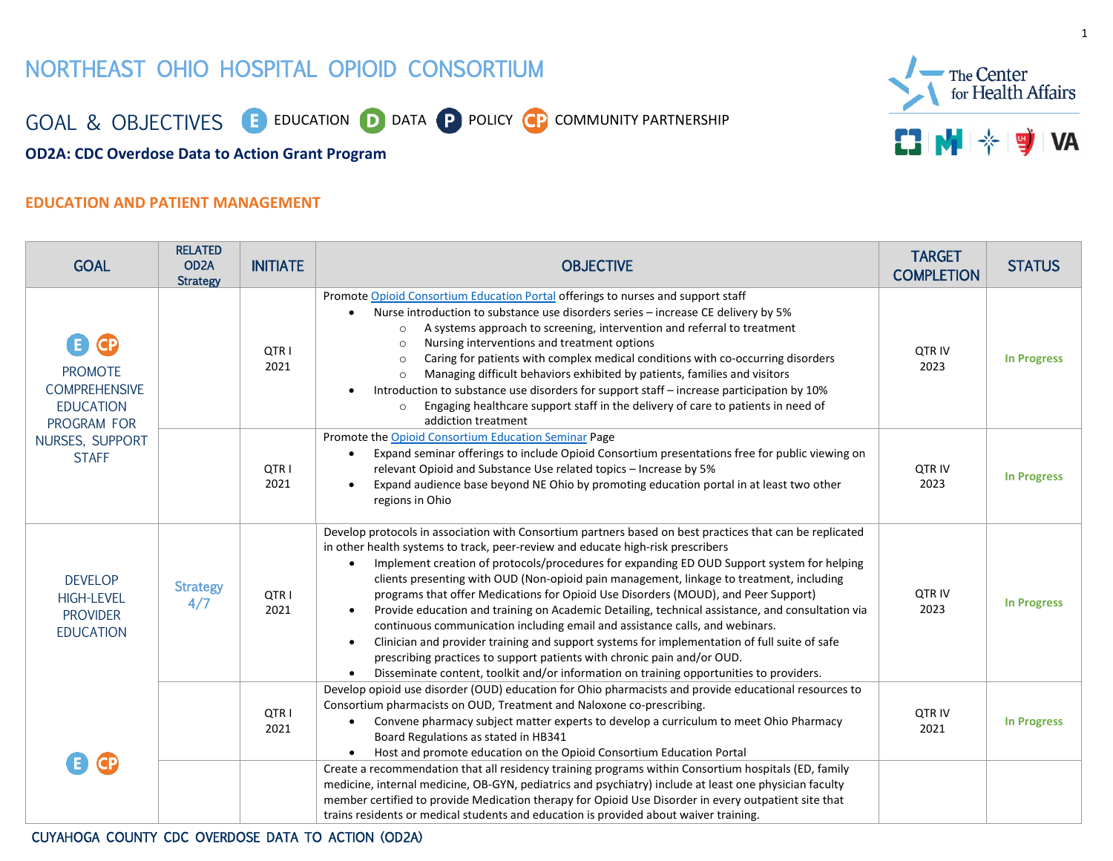# NORTHEAST OHIO HOSPITAL OPIOID CONSORTIUM



GOAL & OBJECTIVES **E** EDUCATION **D** DATA **P** POLICY **CP** COMMUNITY PARTNERSHIP

**OD2A: CDC Overdose Data to Action Grant Program**

### **EDUCATION AND PATIENT MANAGEMENT**

| <b>GOAL</b>                                                                                                          | <b>RELATED</b><br>OD <sub>2</sub> A<br><b>Strategy</b> | <b>INITIATE</b> | <b>OBJECTIVE</b>                                                                                                                                                                                                                                                                                                                                                                                                                                                                                                                                                                                                                                                                                                                                                                                                                                                                                                                                                | <b>TARGET</b><br><b>COMPLETION</b> | <b>STATUS</b>      |
|----------------------------------------------------------------------------------------------------------------------|--------------------------------------------------------|-----------------|-----------------------------------------------------------------------------------------------------------------------------------------------------------------------------------------------------------------------------------------------------------------------------------------------------------------------------------------------------------------------------------------------------------------------------------------------------------------------------------------------------------------------------------------------------------------------------------------------------------------------------------------------------------------------------------------------------------------------------------------------------------------------------------------------------------------------------------------------------------------------------------------------------------------------------------------------------------------|------------------------------------|--------------------|
| E CP<br><b>PROMOTE</b><br><b>COMPREHENSIVE</b><br><b>EDUCATION</b><br>PROGRAM FOR<br>NURSES, SUPPORT<br><b>STAFF</b> |                                                        | QTR I<br>2021   | Promote Opioid Consortium Education Portal offerings to nurses and support staff<br>Nurse introduction to substance use disorders series - increase CE delivery by 5%<br>A systems approach to screening, intervention and referral to treatment<br>$\circ$<br>Nursing interventions and treatment options<br>$\circ$<br>Caring for patients with complex medical conditions with co-occurring disorders<br>$\circ$<br>Managing difficult behaviors exhibited by patients, families and visitors<br>$\circ$<br>Introduction to substance use disorders for support staff - increase participation by 10%<br>Engaging healthcare support staff in the delivery of care to patients in need of<br>$\circ$<br>addiction treatment                                                                                                                                                                                                                                  | QTR IV<br>2023                     | <b>In Progress</b> |
|                                                                                                                      |                                                        | QTR I<br>2021   | Promote the Opioid Consortium Education Seminar Page<br>Expand seminar offerings to include Opioid Consortium presentations free for public viewing on<br>relevant Opioid and Substance Use related topics - Increase by 5%<br>Expand audience base beyond NE Ohio by promoting education portal in at least two other<br>$\bullet$<br>regions in Ohio                                                                                                                                                                                                                                                                                                                                                                                                                                                                                                                                                                                                          | <b>QTRIV</b><br>2023               | <b>In Progress</b> |
| <b>DEVELOP</b><br><b>HIGH-LEVEL</b><br><b>PROVIDER</b><br><b>EDUCATION</b>                                           | <b>Strategy</b><br>4/7                                 | QTR I<br>2021   | Develop protocols in association with Consortium partners based on best practices that can be replicated<br>in other health systems to track, peer-review and educate high-risk prescribers<br>Implement creation of protocols/procedures for expanding ED OUD Support system for helping<br>clients presenting with OUD (Non-opioid pain management, linkage to treatment, including<br>programs that offer Medications for Opioid Use Disorders (MOUD), and Peer Support)<br>Provide education and training on Academic Detailing, technical assistance, and consultation via<br>$\bullet$<br>continuous communication including email and assistance calls, and webinars.<br>Clinician and provider training and support systems for implementation of full suite of safe<br>$\bullet$<br>prescribing practices to support patients with chronic pain and/or OUD.<br>Disseminate content, toolkit and/or information on training opportunities to providers. | QTR IV<br>2023                     | <b>In Progress</b> |
| <b>GP</b>                                                                                                            |                                                        | QTR I<br>2021   | Develop opioid use disorder (OUD) education for Ohio pharmacists and provide educational resources to<br>Consortium pharmacists on OUD, Treatment and Naloxone co-prescribing.<br>Convene pharmacy subject matter experts to develop a curriculum to meet Ohio Pharmacy<br>Board Regulations as stated in HB341<br>Host and promote education on the Opioid Consortium Education Portal                                                                                                                                                                                                                                                                                                                                                                                                                                                                                                                                                                         | <b>QTRIV</b><br>2021               | <b>In Progress</b> |
|                                                                                                                      |                                                        |                 | Create a recommendation that all residency training programs within Consortium hospitals (ED, family<br>medicine, internal medicine, OB-GYN, pediatrics and psychiatry) include at least one physician faculty<br>member certified to provide Medication therapy for Opioid Use Disorder in every outpatient site that<br>trains residents or medical students and education is provided about waiver training.                                                                                                                                                                                                                                                                                                                                                                                                                                                                                                                                                 |                                    |                    |

#### CUYAHOGA COUNTY CDC OVERDOSE DATA TO ACTION (OD2A)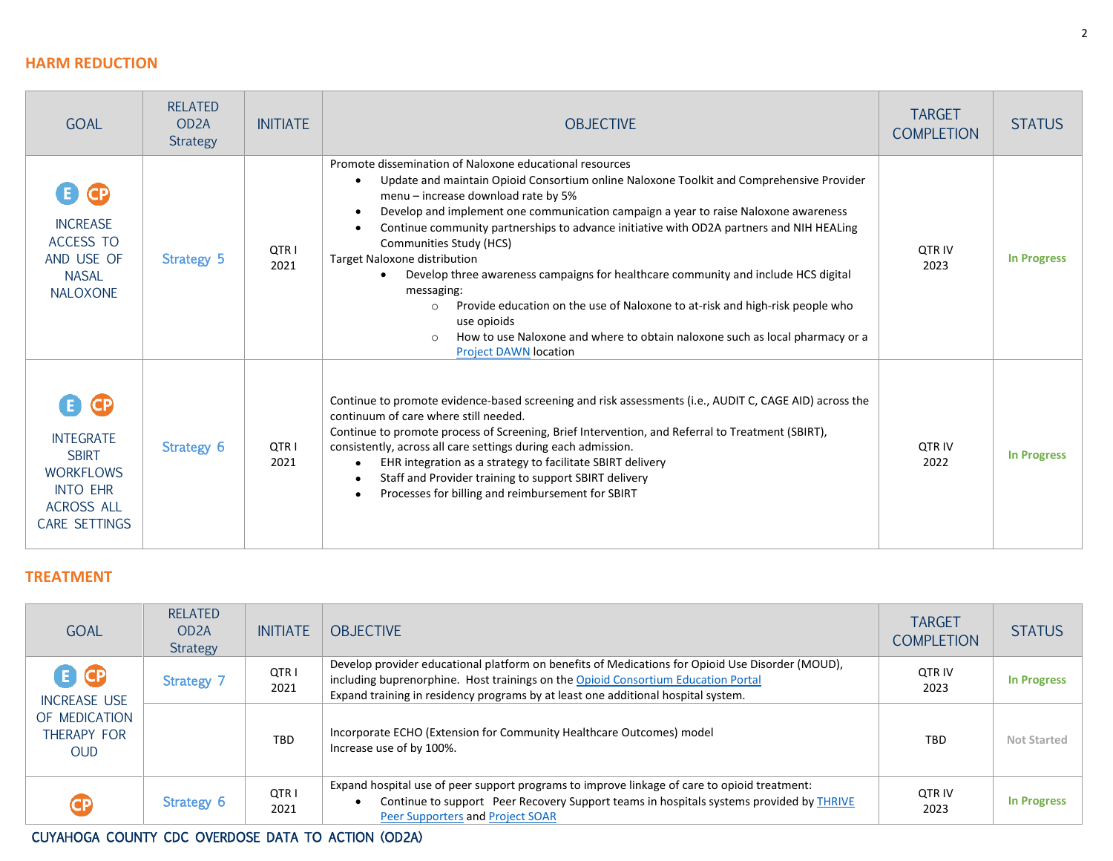### **HARM REDUCTION**

| <b>GOAL</b>                                                                                                                       | <b>RELATED</b><br>OD <sub>2</sub> A<br><b>Strategy</b> | <b>INITIATE</b> | <b>OBJECTIVE</b>                                                                                                                                                                                                                                                                                                                                                                                                                                                                                                                                                                                                                                                                                                                                                                                                           | <b>TARGET</b><br><b>COMPLETION</b> | <b>STATUS</b>      |
|-----------------------------------------------------------------------------------------------------------------------------------|--------------------------------------------------------|-----------------|----------------------------------------------------------------------------------------------------------------------------------------------------------------------------------------------------------------------------------------------------------------------------------------------------------------------------------------------------------------------------------------------------------------------------------------------------------------------------------------------------------------------------------------------------------------------------------------------------------------------------------------------------------------------------------------------------------------------------------------------------------------------------------------------------------------------------|------------------------------------|--------------------|
| <b>CP</b><br><b>INCREASE</b><br>ACCESS TO<br>AND USE OF<br><b>NASAL</b><br><b>NALOXONE</b>                                        | Strategy 5                                             | QTR I<br>2021   | Promote dissemination of Naloxone educational resources<br>Update and maintain Opioid Consortium online Naloxone Toolkit and Comprehensive Provider<br>$\bullet$<br>menu - increase download rate by 5%<br>Develop and implement one communication campaign a year to raise Naloxone awareness<br>$\bullet$<br>Continue community partnerships to advance initiative with OD2A partners and NIH HEALing<br>$\bullet$<br>Communities Study (HCS)<br>Target Naloxone distribution<br>Develop three awareness campaigns for healthcare community and include HCS digital<br>$\bullet$<br>messaging:<br>Provide education on the use of Naloxone to at-risk and high-risk people who<br>$\circ$<br>use opioids<br>How to use Naloxone and where to obtain naloxone such as local pharmacy or a<br><b>Project DAWN location</b> | <b>OTR IV</b><br>2023              | <b>In Progress</b> |
| <b>CP</b><br><b>INTEGRATE</b><br><b>SBIRT</b><br><b>WORKFLOWS</b><br><b>INTO EHR</b><br><b>ACROSS ALL</b><br><b>CARE SETTINGS</b> | Strategy 6                                             | QTR I<br>2021   | Continue to promote evidence-based screening and risk assessments (i.e., AUDIT C, CAGE AID) across the<br>continuum of care where still needed.<br>Continue to promote process of Screening, Brief Intervention, and Referral to Treatment (SBIRT),<br>consistently, across all care settings during each admission.<br>EHR integration as a strategy to facilitate SBIRT delivery<br>$\bullet$<br>Staff and Provider training to support SBIRT delivery<br>$\bullet$<br>Processes for billing and reimbursement for SBIRT<br>$\bullet$                                                                                                                                                                                                                                                                                    | <b>OTR IV</b><br>2022              | <b>In Progress</b> |

## **TREATMENT**

| <b>GOAL</b>                                                             | <b>RELATED</b><br>OD <sub>2</sub> A<br>Strategy | <b>INITIATE</b> | <b>OBJECTIVE</b>                                                                                                                                                                                                                                                           | <b>TARGET</b><br><b>COMPLETION</b> | <b>STATUS</b>      |
|-------------------------------------------------------------------------|-------------------------------------------------|-----------------|----------------------------------------------------------------------------------------------------------------------------------------------------------------------------------------------------------------------------------------------------------------------------|------------------------------------|--------------------|
| GG<br><b>INCREASE USE</b><br>OF MEDICATION<br>THERAPY FOR<br><b>OUD</b> | <b>Strategy 7</b>                               | QTR I<br>2021   | Develop provider educational platform on benefits of Medications for Opioid Use Disorder (MOUD),<br>including buprenorphine. Host trainings on the Opioid Consortium Education Portal<br>Expand training in residency programs by at least one additional hospital system. | QTR IV<br>2023                     | <b>In Progress</b> |
|                                                                         |                                                 | TBD             | Incorporate ECHO (Extension for Community Healthcare Outcomes) model<br>Increase use of by 100%.                                                                                                                                                                           | TBD.                               | <b>Not Started</b> |
| <b>CP</b>                                                               | Strategy 6                                      | QTR I<br>2021   | Expand hospital use of peer support programs to improve linkage of care to opioid treatment:<br>Continue to support Peer Recovery Support teams in hospitals systems provided by THRIVE<br>Peer Supporters and Project SOAR                                                | QTR IV<br>2023                     | <b>In Progress</b> |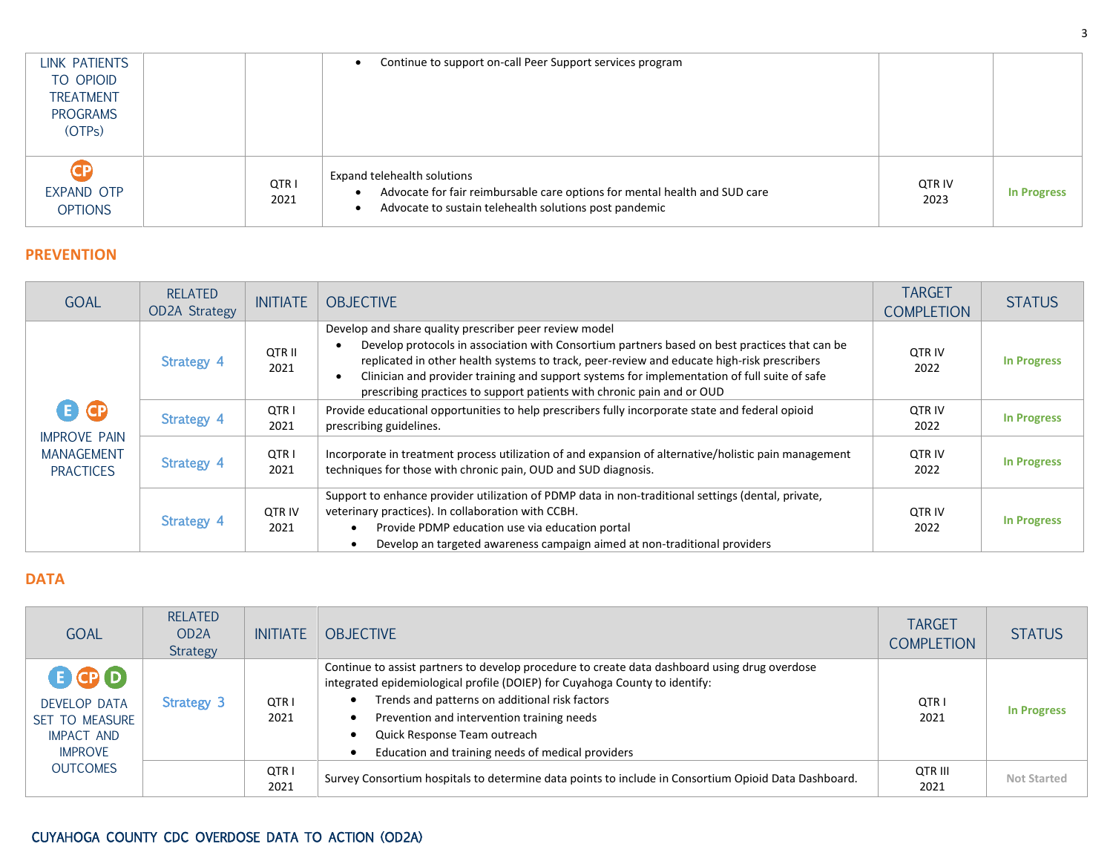| LINK PATIENTS                      |               | Continue to support on-call Peer Support services program                                                                                                           |                |                    |
|------------------------------------|---------------|---------------------------------------------------------------------------------------------------------------------------------------------------------------------|----------------|--------------------|
| TO OPIOID                          |               |                                                                                                                                                                     |                |                    |
| <b>TREATMENT</b>                   |               |                                                                                                                                                                     |                |                    |
| <b>PROGRAMS</b>                    |               |                                                                                                                                                                     |                |                    |
| (OTP <sub>S</sub> )                |               |                                                                                                                                                                     |                |                    |
|                                    |               |                                                                                                                                                                     |                |                    |
| CP<br>EXPAND OTP<br><b>OPTIONS</b> | QTR I<br>2021 | Expand telehealth solutions<br>Advocate for fair reimbursable care options for mental health and SUD care<br>Advocate to sustain telehealth solutions post pandemic | OTR IV<br>2023 | <b>In Progress</b> |

#### **PREVENTION**

| <b>GOAL</b>                                                         | <b>RELATED</b><br><b>OD2A Strategy</b> | <b>INITIATE</b>       | <b>OBJECTIVE</b>                                                                                                                                                                                                                                                                                                                                                                                                                | <b>TARGET</b><br><b>COMPLETION</b> | <b>STATUS</b>      |
|---------------------------------------------------------------------|----------------------------------------|-----------------------|---------------------------------------------------------------------------------------------------------------------------------------------------------------------------------------------------------------------------------------------------------------------------------------------------------------------------------------------------------------------------------------------------------------------------------|------------------------------------|--------------------|
| 6 Q<br><b>IMPROVE PAIN</b><br><b>MANAGEMENT</b><br><b>PRACTICES</b> | Strategy 4                             | QTR II<br>2021        | Develop and share quality prescriber peer review model<br>Develop protocols in association with Consortium partners based on best practices that can be<br>replicated in other health systems to track, peer-review and educate high-risk prescribers<br>Clinician and provider training and support systems for implementation of full suite of safe<br>prescribing practices to support patients with chronic pain and or OUD | <b>QTR IV</b><br>2022              | <b>In Progress</b> |
|                                                                     | <b>Strategy 4</b>                      | QTR I<br>2021         | Provide educational opportunities to help prescribers fully incorporate state and federal opioid<br>prescribing guidelines.                                                                                                                                                                                                                                                                                                     | <b>OTR IV</b><br>2022              | <b>In Progress</b> |
|                                                                     | <b>Strategy 4</b>                      | QTR I<br>2021         | Incorporate in treatment process utilization of and expansion of alternative/holistic pain management<br>techniques for those with chronic pain, OUD and SUD diagnosis.                                                                                                                                                                                                                                                         | <b>QTR IV</b><br>2022              | <b>In Progress</b> |
|                                                                     | Strategy 4                             | <b>QTR IV</b><br>2021 | Support to enhance provider utilization of PDMP data in non-traditional settings (dental, private,<br>veterinary practices). In collaboration with CCBH.<br>Provide PDMP education use via education portal<br>Develop an targeted awareness campaign aimed at non-traditional providers                                                                                                                                        | <b>QTR IV</b><br>2022              | <b>In Progress</b> |

## **DATA**

| <b>GOAL</b>                                                                                            | <b>RELATED</b><br>OD <sub>2</sub> A<br>Strategy | <b>INITIATE</b>          | <b>OBJECTIVE</b>                                                                                                                                                                                                                                                                                                                                                  | <b>TARGET</b><br><b>COMPLETION</b> | <b>STATUS</b>      |
|--------------------------------------------------------------------------------------------------------|-------------------------------------------------|--------------------------|-------------------------------------------------------------------------------------------------------------------------------------------------------------------------------------------------------------------------------------------------------------------------------------------------------------------------------------------------------------------|------------------------------------|--------------------|
| BOD<br><b>DEVELOP DATA</b><br>SET TO MEASURE<br><b>IMPACT AND</b><br><b>IMPROVE</b><br><b>OUTCOMES</b> | Strategy 3                                      | QTR <sub>I</sub><br>2021 | Continue to assist partners to develop procedure to create data dashboard using drug overdose<br>integrated epidemiological profile (DOIEP) for Cuyahoga County to identify:<br>Trends and patterns on additional risk factors<br>Prevention and intervention training needs<br>Quick Response Team outreach<br>Education and training needs of medical providers | QTR I<br>2021                      | <b>In Progress</b> |
|                                                                                                        |                                                 | QTR I<br>2021            | Survey Consortium hospitals to determine data points to include in Consortium Opioid Data Dashboard.                                                                                                                                                                                                                                                              | OTR III<br>2021                    | <b>Not Started</b> |